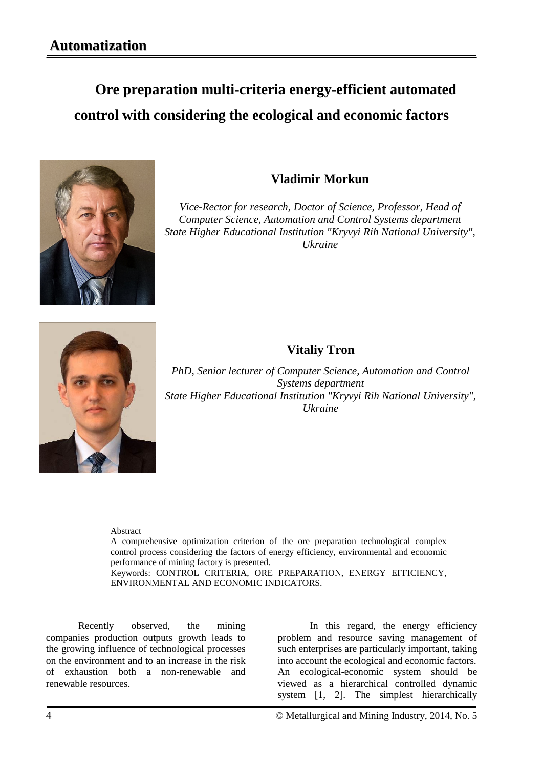## **Ore preparation multi-criteria energy-efficient automated control with considering the ecological and economic factors**



## **Vladimir Morkun**

*Vice-Rector for research, Doctor of Science, Professor, Head of Computer Science, Automation and Control Systems department State Higher Educational Institution "Kryvyi Rih National University", Ukraine*



## **Vitaliy Tron**

*PhD, Senior lecturer of Computer Science, Automation and Control Systems department State Higher Educational Institution "Kryvyi Rih National University", Ukraine*

Abstract

A comprehensive optimization criterion of the ore preparation technological complex control process considering the factors of energy efficiency, environmental and economic performance of mining factory is presented. Keywords: CONTROL CRITERIA, ORE PREPARATION, ENERGY EFFICIENCY, ENVIRONMENTAL AND ECONOMIC INDICATORS.

Recently observed, the mining companies production outputs growth leads to the growing influence of technological processes on the environment and to an increase in the risk of exhaustion both a non-renewable and renewable resources.

In this regard, the energy efficiency problem and resource saving management of such enterprises are particularly important, taking into account the ecological and economic factors. An ecological-economic system should be viewed as a hierarchical controlled dynamic system [1, 2]. The simplest hierarchically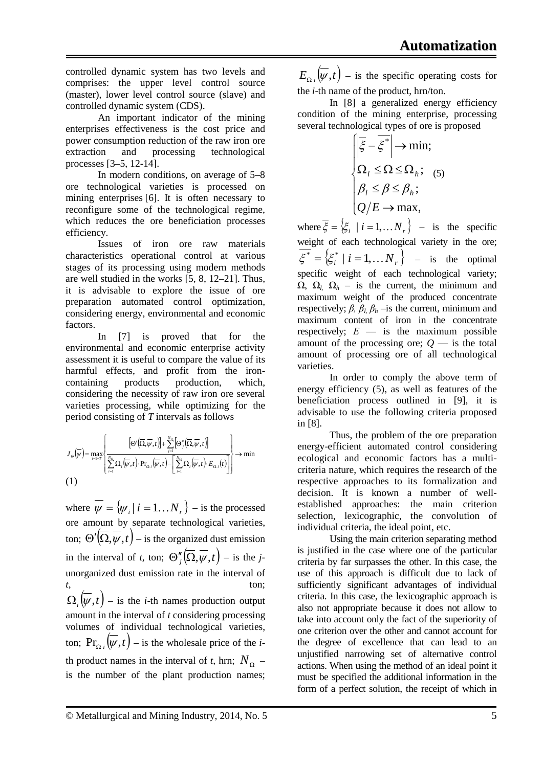controlled dynamic system has two levels and comprises: the upper level control source (master), lower level control source (slave) and controlled dynamic system (CDS).

An important indicator of the mining enterprises effectiveness is the cost price and power consumption reduction of the raw iron ore extraction and processing technological processes [3–5, 12-14].

In modern conditions, on average of 5–8 ore technological varieties is processed on mining enterprises [6]. It is often necessary to reconfigure some of the technological regime, which reduces the ore beneficiation processes efficiency.

Issues of iron ore raw materials characteristics operational control at various stages of its processing using modern methods are well studied in the works [5, 8, 12–21]. Thus, it is advisable to explore the issue of ore preparation automated control optimization, considering energy, environmental and economic factors.

In [7] is proved that for the environmental and economic enterprise activity assessment it is useful to compare the value of its harmful effects, and profit from the ironcontaining products production, which, considering the necessity of raw iron ore several varieties processing, while optimizing for the period consisting of *T* intervals as follows

$$
J_{\Theta}(\overline{\psi}) = \max_{t=1}^{N} \left\{ \frac{\left[\Theta'(\overline{\Omega}, \overline{\psi}, t)\right] + \sum_{j=1}^{N_{\Theta}} \left[\Theta''_{j}(\overline{\Omega}, \overline{\psi}, t)\right]}{\sum_{i=1}^{N_{\Theta}} \Omega_{i}(\overline{\psi}, t) \cdot \Pr_{\Omega_{i}}(\overline{\psi}, t) - \left[\sum_{i=1}^{N_{\Theta}} \Omega_{i}(\overline{\psi}, t) \cdot E_{\Omega_{i}}(t)\right]} \right\} \rightarrow \min
$$
\n(1)

where  $\overline{\psi} = {\psi_i | i = 1...N_r}$  – is the processed ore amount by separate technological varieties, ton;  $\Theta'(\overline{\Omega}, \overline{\psi}, t)$  – is the organized dust emission in the interval of *t*, ton;  $\Theta''_i(\overline{\Omega}, \overline{\psi}, t)$  – is the *j*unorganized dust emission rate in the interval of *t*, ton;  $\Omega_i(\psi, t)$  – is the *i*-th names production output amount in the interval of *t* considering processing volumes of individual technological varieties, ton;  $Pr_{\Omega_i}(\overline{\psi}, t)$  – is the wholesale price of the *i*th product names in the interval of *t*, hrn;  $N_{\Omega}$  – is the number of the plant production names;

 $E_{\Omega i}(\overline{\psi}, t)$  – is the specific operating costs for the *i*-th name of the product, hrn/ton.

In [8] a generalized energy efficiency condition of the mining enterprise, processing several technological types of ore is proposed

$$
\begin{cases}\n\left|\overline{\xi} - \overline{\xi^*}\right| \to \min; \n\Omega_l \leq \Omega \leq \Omega_h; \n\beta_l \leq \beta \leq \beta_h; \nQ/E \to \max, \n\end{cases}
$$

where  $\xi = \{\xi_i \mid i = 1, \dots N_r\}$  – is the specific weight of each technological variety in the ore;  $\zeta^* = \left\{ \zeta_i^* \mid i = 1, \dots N_r \right\}$  - is the optimal specific weight of each technological variety; Ω, Ω*l,* Ω*<sup>h</sup>* – is the current, the minimum and maximum weight of the produced concentrate respectively;  $\beta$ ,  $\beta_l$ ,  $\beta_h$  –is the current, minimum and maximum content of iron in the concentrate respectively;  $E -$  is the maximum possible amount of the processing ore;  $Q$  — is the total amount of processing ore of all technological varieties.

In order to comply the above term of energy efficiency (5), as well as features of the beneficiation process outlined in [9], it is advisable to use the following criteria proposed in [8].

Thus, the problem of the ore preparation energy-efficient automated control considering ecological and economic factors has a multicriteria nature, which requires the research of the respective approaches to its formalization and decision. It is known a number of wellestablished approaches: the main criterion selection, lexicographic, the convolution of individual criteria, the ideal point, etc.

Using the main criterion separating method is justified in the case where one of the particular criteria by far surpasses the other. In this case, the use of this approach is difficult due to lack of sufficiently significant advantages of individual criteria. In this case, the lexicographic approach is also not appropriate because it does not allow to take into account only the fact of the superiority of one criterion over the other and cannot account for the degree of excellence that can lead to an unjustified narrowing set of alternative control actions. When using the method of an ideal point it must be specified the additional information in the form of a perfect solution, the receipt of which in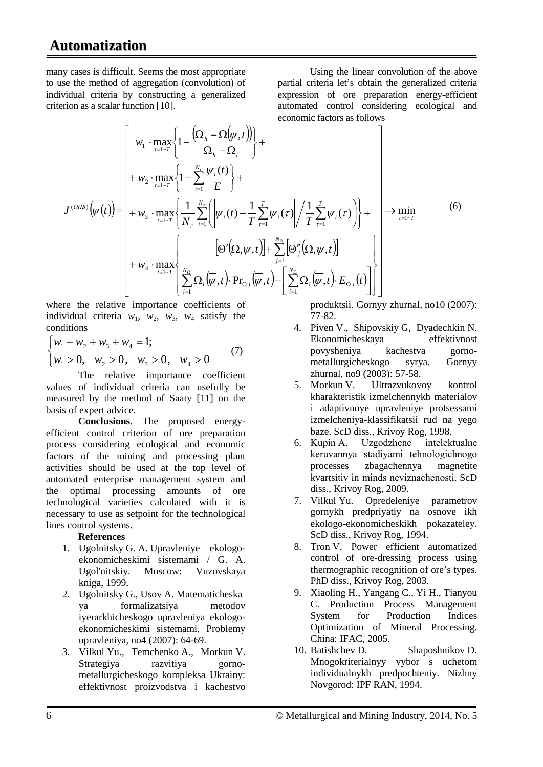many cases is difficult. Seems the most appropriate to use the method of aggregation (convolution) of individual criteria by constructing a generalized criterion as a scalar function [10].

Using the linear convolution of the above partial criteria let's obtain the generalized criteria expression of ore preparation energy-efficient automated control considering ecological and economic factors as follows

$$
J^{(OIB)}(\overline{\psi}(t)) = \begin{bmatrix} w_1 \cdot \max_{t=1-T} \left\{ 1 - \frac{\left(\Omega_h - \Omega(\overline{\psi}, t)\right)}{\Omega_h - \Omega_l} \right\} + \\ + w_2 \cdot \max_{t=1-T} \left\{ 1 - \sum_{i=1}^{N_r} \frac{\psi_i(t)}{E} \right\} + \\ + w_3 \cdot \max_{t=1-T} \left\{ 1 - \sum_{i=1}^{N_r} \frac{\psi_i(t)}{E} \right\} + \\ + w_4 \cdot \max_{t=1-T} \left\{ \frac{1}{N_r} \sum_{i=1}^{N_r} \left( \left| \psi_i(t) - \frac{1}{T} \sum_{\tau=1}^{T} \psi_i(\tau) \right| / \frac{1}{T} \sum_{\tau=1}^{T} \psi_i(\tau) \right) \right\} + \\ + w_4 \cdot \max_{t=1-T} \left\{ \frac{\left[ \Theta'(\overline{\Omega}, \overline{\psi}, t) \right] + \sum_{j=1}^{N_\Theta} \left[ \Theta''_j(\overline{\Omega}, \overline{\psi}, t) \right]}{\sum_{i=1}^{N_\Theta} \Omega_i(\overline{\psi}, t) \cdot \Pr_{\Omega_i}(\overline{\psi}, t) - \left[ \sum_{i=1}^{N_\Theta} \Omega_i(\overline{\psi}, t) \cdot E_{\Omega_i}(t) \right] \right] \end{bmatrix} \tag{6}
$$

where the relative importance coefficients of individual criteria  $w_1$ ,  $w_2$ ,  $w_3$ ,  $w_4$  satisfy the conditions

$$
\begin{cases} w_1 + w_2 + w_3 + w_4 = 1; \\ w_1 > 0, \quad w_2 > 0, \quad w_3 > 0, \quad w_4 > 0 \end{cases}
$$
 (7)

The relative importance coefficient values of individual criteria can usefully be measured by the method of Saaty [11] on the basis of expert advice.

**Conclusions**. The proposed energyefficient control criterion of ore preparation process considering ecological and economic factors of the mining and processing plant activities should be used at the top level of automated enterprise management system and the optimal processing amounts of ore technological varieties calculated with it is necessary to use as setpoint for the technological lines control systems.

## **References**

- 1. Ugolnitsky G. A. Upravleniye ekologoekonomicheskimi sistemami / G. A. Ugol'nitskiy. Moscow: Vuzovskaya kniga, 1999.
- 2. Ugolnitsky G., Usov A. Matematicheska ya formalizatsiya metodov iyerarkhicheskogo upravleniya ekologoekonomicheskimi sistemami. Problemy upravleniya, no4 (2007): 64-69.
- 3. Vilkul Yu., Temchenko A., Morkun V. Strategiya razvitiya gornometallurgicheskogo kompleksa Ukrainy: effektivnost proizvodstva i kachestvo

produktsii. Gornyy zhurnal, no10 (2007): 77-82.

- 4. Piven V., Shipovskiy G, Dyadechkin N. Ekonomicheskaya effektivnost povysheniya kachestva gornometallurgicheskogo syrya. Gornyy zhurnal, no9 (2003): 57-58.
- 5. Morkun V. Ultrazvukovoy kontrol kharakteristik izmelchennykh materialov i adaptivnoye upravleniye protsessami izmelcheniya-klassifikatsii rud na yego baze. ScD diss., Krivoy Rog, 1998.
- 6. Kupіn A. Uzgodzhene іntelektualne keruvannya stadіyami tehnologіchnogo processes zbagachennya magnetite kvartsitіv in minds neviznachenostі. ScD diss., Krivoy Rog, 2009.
- 7. Vilkul Yu. Opredeleniye parametrov gornykh predpriyatiy na osnove ikh ekologo-ekonomicheskikh pokazateley. ScD diss., Krivoy Rog, 1994.
- 8. Tron V. Power efficient automatized control of ore-dressing process using thermographic recognition of ore's types. PhD diss., Krivoy Rog, 2003.
- 9. Xiaoling H., Yangang C., Yi H., Tianyou C. Production Process Management System for Production Indices Optimization of Mineral Processing. China: IFAC, 2005.
- 10. Batishchev D. Shaposhnikov D. Mnogokriterialnyy vybor s uchetom individualnykh predpochteniy. Nizhny Novgorod: IPF RAN, 1994.